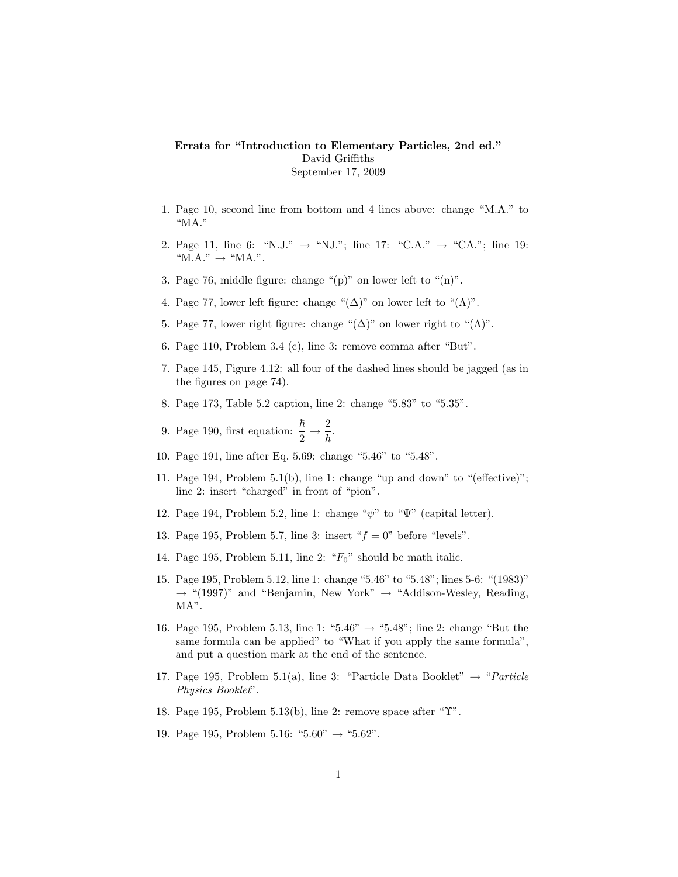## Errata for "Introduction to Elementary Particles, 2nd ed." David Griffiths September 17, 2009

- 1. Page 10, second line from bottom and 4 lines above: change "M.A." to "MA."
- 2. Page 11, line 6: "N.J."  $\rightarrow$  "N.J."; line 17: "C.A."  $\rightarrow$  "CA."; line 19:  $"MA." \rightarrow "MA."$ .
- 3. Page 76, middle figure: change " $(p)$ " on lower left to " $(n)$ ".
- 4. Page 77, lower left figure: change " $(\Delta)$ " on lower left to " $(\Lambda)$ ".
- 5. Page 77, lower right figure: change " $(\Delta)$ " on lower right to " $(\Lambda)$ ".
- 6. Page 110, Problem 3.4 (c), line 3: remove comma after "But".
- 7. Page 145, Figure 4.12: all four of the dashed lines should be jagged (as in the figures on page 74).
- 8. Page 173, Table 5.2 caption, line 2: change "5.83" to "5.35".
- 9. Page 190, first equation:  $\frac{\hbar}{2} \rightarrow \frac{2}{\hbar}$  $\frac{\bar{}}{\hbar}.$
- 10. Page 191, line after Eq. 5.69: change "5.46" to "5.48".
- 11. Page 194, Problem 5.1(b), line 1: change "up and down" to "(effective)"; line 2: insert "charged" in front of "pion".
- 12. Page 194, Problem 5.2, line 1: change " $\psi$ " to " $\Psi$ " (capital letter).
- 13. Page 195, Problem 5.7, line 3: insert " $f = 0$ " before "levels".
- 14. Page 195, Problem 5.11, line 2: " $F_0$ " should be math italic.
- 15. Page 195, Problem 5.12, line 1: change "5.46" to "5.48"; lines 5-6: "(1983)"  $\rightarrow$  "(1997)" and "Benjamin, New York"  $\rightarrow$  "Addison-Wesley, Reading, MA".
- 16. Page 195, Problem 5.13, line 1: "5.46"  $\rightarrow$  "5.48"; line 2: change "But the same formula can be applied" to "What if you apply the same formula", and put a question mark at the end of the sentence.
- 17. Page 195, Problem 5.1(a), line 3: "Particle Data Booklet"  $\rightarrow$  "*Particle* Physics Booklet".
- 18. Page 195, Problem 5.13(b), line 2: remove space after "Υ".
- 19. Page 195, Problem 5.16: "5.60"  $\rightarrow$  "5.62".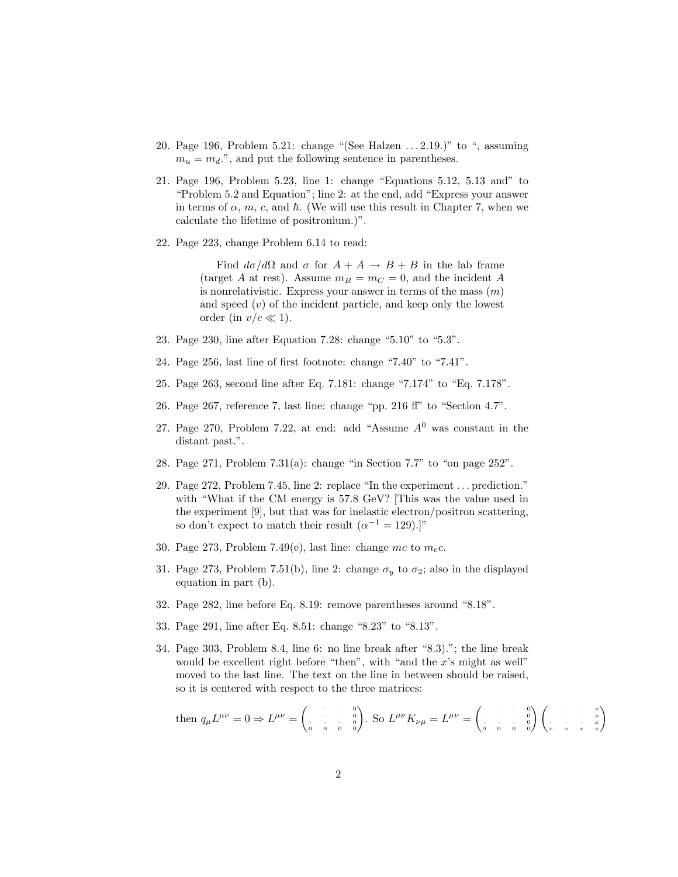- 20. Page 196, Problem 5.21: change "(See Halzen . . . 2.19.)" to ", assuming  $m_u = m_d$ .", and put the following sentence in parentheses.
- 21. Page 196, Problem 5.23, line 1: change "Equations 5.12, 5.13 and" to "Problem 5.2 and Equation"; line 2: at the end, add "Express your answer in terms of  $\alpha$ ,  $m$ ,  $c$ , and  $\hbar$ . (We will use this result in Chapter 7, when we calculate the lifetime of positronium.)".
- 22. Page 223, change Problem 6.14 to read:

Find  $d\sigma/d\Omega$  and  $\sigma$  for  $A + A \rightarrow B + B$  in the lab frame (target A at rest). Assume  $m_B = m_C = 0$ , and the incident A is nonrelativistic. Express your answer in terms of the mass  $(m)$ and speed  $(v)$  of the incident particle, and keep only the lowest order (in  $v/c \ll 1$ ).

- 23. Page 230, line after Equation 7.28: change "5.10" to "5.3".
- 24. Page 256, last line of first footnote: change "7.40" to "7.41".
- 25. Page 263, second line after Eq. 7.181: change "7.174" to "Eq. 7.178".
- 26. Page 267, reference 7, last line: change "pp. 216 ff" to "Section 4.7".
- 27. Page 270, Problem 7.22, at end: add "Assume  $A<sup>0</sup>$  was constant in the distant past.".
- 28. Page 271, Problem 7.31(a): change "in Section 7.7" to "on page 252".
- 29. Page 272, Problem 7.45, line 2: replace "In the experiment . . . prediction." with "What if the CM energy is 57.8 GeV? [This was the value used in the experiment [9], but that was for inelastic electron/positron scattering, so don't expect to match their result  $(\alpha^{-1} = 129).$ ]"
- 30. Page 273, Problem 7.49(e), last line: change mc to  $m_e c$ .
- 31. Page 273, Problem 7.51(b), line 2: change  $\sigma_y$  to  $\sigma_z$ ; also in the displayed equation in part (b).
- 32. Page 282, line before Eq. 8.19: remove parentheses around "8.18".
- 33. Page 291, line after Eq. 8.51: change "8.23" to "8.13".
- 34. Page 303, Problem 8.4, line 6: no line break after "8.3)."; the line break would be excellent right before "then", with "and the  $x$ 's might as well" moved to the last line. The text on the line in between should be raised, so it is centered with respect to the three matrices:

then 
$$
q_{\mu}L^{\mu\nu} = 0 \Rightarrow L^{\mu\nu} = \begin{pmatrix} \cdot & \cdot & \cdot & \cdot & \cdot \\ \cdot & \cdot & \cdot & \cdot & \cdot \\ \cdot & \cdot & \cdot & \cdot & \cdot \\ \cdot & \cdot & \cdot & \cdot & \cdot \\ \cdot & \cdot & \cdot & \cdot & \cdot \end{pmatrix}
$$
. So  $L^{\mu\nu}K_{\nu\mu} = L^{\mu\nu} = \begin{pmatrix} \cdot & \cdot & \cdot & \cdot & \cdot \\ \cdot & \cdot & \cdot & \cdot & \cdot & \cdot \\ \cdot & \cdot & \cdot & \cdot & \cdot & \cdot \\ \cdot & \cdot & \cdot & \cdot & \cdot & \cdot \\ \cdot & \cdot & \cdot & \cdot & \cdot & \cdot \end{pmatrix} \begin{pmatrix} \cdot & \cdot & \cdot & \cdot & \cdot \\ \cdot & \cdot & \cdot & \cdot & \cdot & \cdot \\ \cdot & \cdot & \cdot & \cdot & \cdot & \cdot \\ \cdot & \cdot & \cdot & \cdot & \cdot & \cdot \\ \cdot & \cdot & \cdot & \cdot & \cdot & \cdot \end{pmatrix}$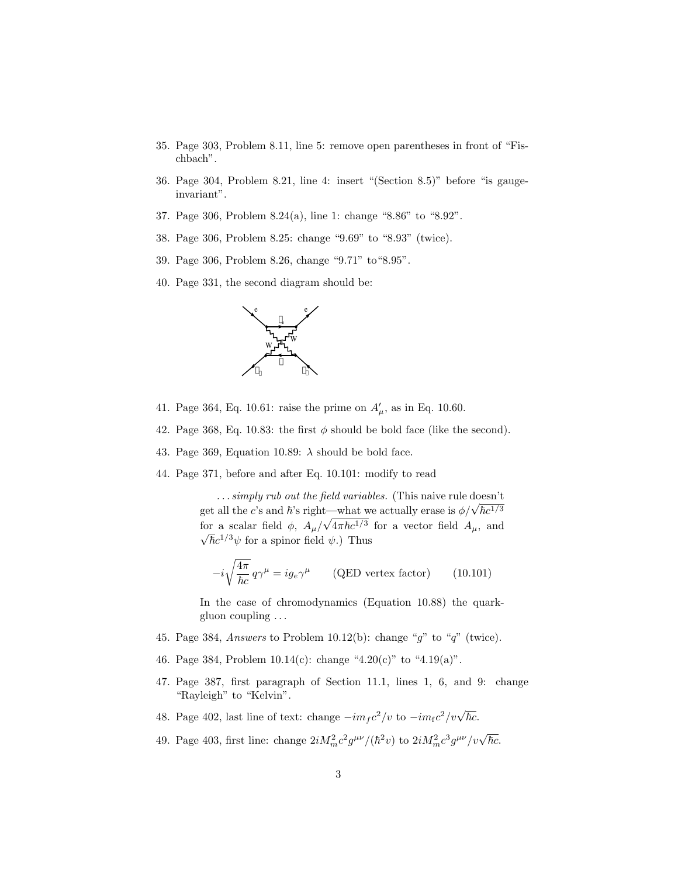- 35. Page 303, Problem 8.11, line 5: remove open parentheses in front of "Fischbach".
- 36. Page 304, Problem 8.21, line 4: insert "(Section 8.5)" before "is gaugeinvariant".
- 37. Page 306, Problem 8.24(a), line 1: change "8.86" to "8.92".
- 38. Page 306, Problem 8.25: change "9.69" to "8.93" (twice).
- 39. Page 306, Problem 8.26, change "9.71" to"8.95".
- 40. Page 331, the second diagram should be:



- 41. Page 364, Eq. 10.61: raise the prime on  $A'_{\mu}$ , as in Eq. 10.60.
- 42. Page 368, Eq. 10.83: the first  $\phi$  should be bold face (like the second).
- 43. Page 369, Equation 10.89:  $\lambda$  should be bold face.
- 44. Page 371, before and after Eq. 10.101: modify to read

... simply rub out the field variables. (This naive rule doesn't  $\ldots$  sumpty ruo out the jield variables. (This halve rule doesn't get all the c's and  $\hbar$ 's right—what we actually erase is  $\phi/\sqrt{\hbar}c^{1/3}$ for a scalar field  $\phi$ ,  $A_{\mu}$ / get an the c s and h s right—what we actually erase is  $\varphi/\sqrt{n}c^{1/3}$ <br>for a scalar field  $\phi$ ,  $A_{\mu}/\sqrt{4\pi\hbar c^{1/3}}$  for a vector field  $A_{\mu}$ , and  $\bar{\hbar}c^{1/3}\psi$  for a spinor field  $\psi$ .) Thus

$$
-i\sqrt{\frac{4\pi}{\hbar c}}\,q\gamma^{\mu} = ig_e\gamma^{\mu} \qquad \text{(QED vertex factor)} \qquad (10.101)
$$

In the case of chromodynamics (Equation 10.88) the quarkgluon coupling . . .

- 45. Page 384, Answers to Problem 10.12(b): change "g" to "q" (twice).
- 46. Page 384, Problem  $10.14(c)$ : change "4.20(c)" to "4.19(a)".
- 47. Page 387, first paragraph of Section 11.1, lines 1, 6, and 9: change "Rayleigh" to "Kelvin".
- 48. Page 402, last line of text: change  $-im_f c^2/v$  to  $-im_f c^2/v\sqrt{\hbar c}$ .
- 49. Page 403, first line: change  $2iM_m^2c^2g^{\mu\nu}/(\hbar^2v)$  to  $2iM_m^2c^3g^{\mu\nu}/v\sqrt{\hbar c}$ .